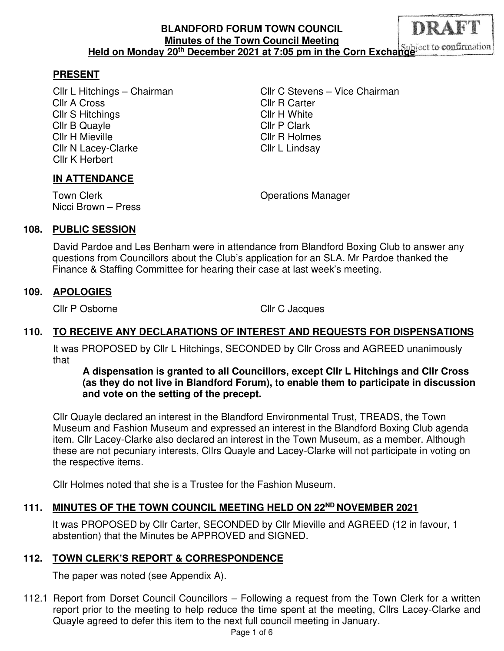#### DRAFT **BLANDFORD FORUM TOWN COUNCIL Minutes of the Town Council Meeting**  Held on Monday 20<sup>th</sup> December 2021 at 7:05 pm in the Corn Exchange **Subject** to confirmation

### **PRESENT**

Cllr A Cross Cllr R Carter Cllr S Hitchings Cllr H White Cllr B Quayle Cllr P Clark Cllr H Mieville Cllr R Holmes Cllr N Lacey-Clarke Cllr L Lindsay Cllr K Herbert

Cllr L Hitchings – Chairman Cllr C Stevens – Vice Chairman

#### **IN ATTENDANCE**

Nicci Brown – Press

Town Clerk **Town Clear Clerk** Clear Clear Clear Clear Clear Clear Clear Clear Clear Clear Clear Clear Clear Clear

#### **108. PUBLIC SESSION**

 David Pardoe and Les Benham were in attendance from Blandford Boxing Club to answer any questions from Councillors about the Club's application for an SLA. Mr Pardoe thanked the Finance & Staffing Committee for hearing their case at last week's meeting.

#### **109. APOLOGIES**

Cllr P Osborne Cllr C Jacques

# **110. TO RECEIVE ANY DECLARATIONS OF INTEREST AND REQUESTS FOR DISPENSATIONS**

It was PROPOSED by Cllr L Hitchings, SECONDED by Cllr Cross and AGREED unanimously that

**A dispensation is granted to all Councillors, except Cllr L Hitchings and Cllr Cross (as they do not live in Blandford Forum), to enable them to participate in discussion and vote on the setting of the precept.** 

Cllr Quayle declared an interest in the Blandford Environmental Trust, TREADS, the Town Museum and Fashion Museum and expressed an interest in the Blandford Boxing Club agenda item. Cllr Lacey-Clarke also declared an interest in the Town Museum, as a member. Although these are not pecuniary interests, Cllrs Quayle and Lacey-Clarke will not participate in voting on the respective items.

Cllr Holmes noted that she is a Trustee for the Fashion Museum.

# **111. MINUTES OF THE TOWN COUNCIL MEETING HELD ON 22ND NOVEMBER 2021**

It was PROPOSED by Cllr Carter, SECONDED by Cllr Mieville and AGREED (12 in favour, 1 abstention) that the Minutes be APPROVED and SIGNED.

#### **112. TOWN CLERK'S REPORT & CORRESPONDENCE**

The paper was noted (see Appendix A).

112.1 Report from Dorset Council Councillors – Following a request from the Town Clerk for a written report prior to the meeting to help reduce the time spent at the meeting, Cllrs Lacey-Clarke and Quayle agreed to defer this item to the next full council meeting in January.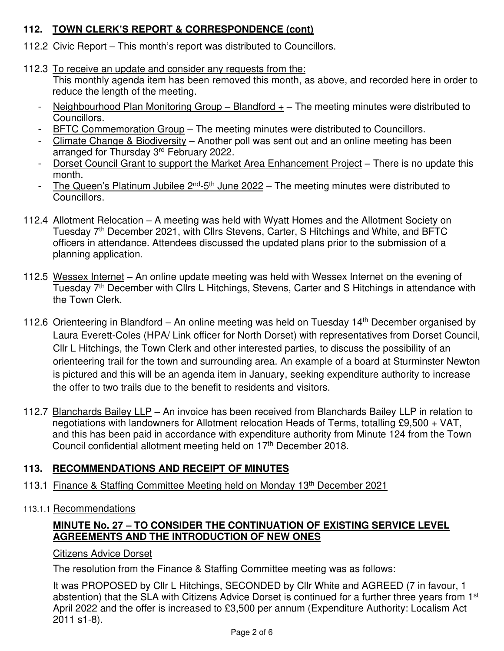# **112. TOWN CLERK'S REPORT & CORRESPONDENCE (cont)**

- 112.2 Civic Report This month's report was distributed to Councillors.
- 112.3 To receive an update and consider any requests from the:

 This monthly agenda item has been removed this month, as above, and recorded here in order to reduce the length of the meeting.

- Neighbourhood Plan Monitoring Group Blandford  $+$  The meeting minutes were distributed to Councillors.
- BFTC Commemoration Group The meeting minutes were distributed to Councillors.
- Climate Change & Biodiversity Another poll was sent out and an online meeting has been arranged for Thursday 3<sup>rd</sup> February 2022.
- Dorset Council Grant to support the Market Area Enhancement Project There is no update this month.
- The Queen's Platinum Jubilee  $2^{nd}$ -5<sup>th</sup> June 2022 The meeting minutes were distributed to Councillors.
- 112.4 Allotment Relocation A meeting was held with Wyatt Homes and the Allotment Society on Tuesday 7<sup>th</sup> December 2021, with Cllrs Stevens, Carter, S Hitchings and White, and BFTC officers in attendance. Attendees discussed the updated plans prior to the submission of a planning application.
- 112.5 Wessex Internet An online update meeting was held with Wessex Internet on the evening of Tuesday 7<sup>th</sup> December with Cllrs L Hitchings, Stevens, Carter and S Hitchings in attendance with the Town Clerk.
- 112.6 Orienteering in Blandford An online meeting was held on Tuesday 14<sup>th</sup> December organised by Laura Everett-Coles (HPA/ Link officer for North Dorset) with representatives from Dorset Council, Cllr L Hitchings, the Town Clerk and other interested parties, to discuss the possibility of an orienteering trail for the town and surrounding area. An example of a board at Sturminster Newton is pictured and this will be an agenda item in January, seeking expenditure authority to increase the offer to two trails due to the benefit to residents and visitors.
- 112.7 Blanchards Bailey LLP An invoice has been received from Blanchards Bailey LLP in relation to negotiations with landowners for Allotment relocation Heads of Terms, totalling £9,500 + VAT, and this has been paid in accordance with expenditure authority from Minute 124 from the Town Council confidential allotment meeting held on 17<sup>th</sup> December 2018.

# **113. RECOMMENDATIONS AND RECEIPT OF MINUTES**

- 113.1 Finance & Staffing Committee Meeting held on Monday 13th December 2021
- 113.1.1 Recommendations

# **MINUTE No. 27 – TO CONSIDER THE CONTINUATION OF EXISTING SERVICE LEVEL AGREEMENTS AND THE INTRODUCTION OF NEW ONES**

### Citizens Advice Dorset

The resolution from the Finance & Staffing Committee meeting was as follows:

It was PROPOSED by Cllr L Hitchings, SECONDED by Cllr White and AGREED (7 in favour, 1 abstention) that the SLA with Citizens Advice Dorset is continued for a further three years from 1<sup>st</sup> April 2022 and the offer is increased to £3,500 per annum (Expenditure Authority: Localism Act 2011 s1-8).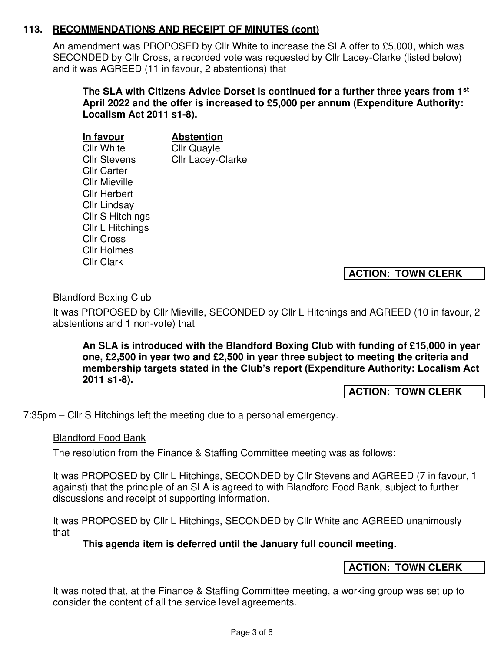An amendment was PROPOSED by Cllr White to increase the SLA offer to £5,000, which was SECONDED by Cllr Cross, a recorded vote was requested by Cllr Lacey-Clarke (listed below) and it was AGREED (11 in favour, 2 abstentions) that

**The SLA with Citizens Advice Dorset is continued for a further three years from 1st April 2022 and the offer is increased to £5,000 per annum (Expenditure Authority: Localism Act 2011 s1-8).** 

| In favour            | <b>Abstention</b>        |
|----------------------|--------------------------|
| <b>Cllr White</b>    | <b>Cllr Quayle</b>       |
| <b>Cllr Stevens</b>  | <b>Cllr Lacey-Clarke</b> |
| <b>Cllr Carter</b>   |                          |
| <b>Cllr Mieville</b> |                          |
| <b>Cllr Herbert</b>  |                          |
| <b>Cllr Lindsay</b>  |                          |
| Cllr S Hitchings     |                          |
| Cllr L Hitchings     |                          |
| <b>CIIr Cross</b>    |                          |
| <b>Cllr Holmes</b>   |                          |
| <b>Cllr Clark</b>    |                          |
|                      |                          |

**ACTION: TOWN CLERK** 

# Blandford Boxing Club

It was PROPOSED by Cllr Mieville, SECONDED by Cllr L Hitchings and AGREED (10 in favour, 2 abstentions and 1 non-vote) that

**An SLA is introduced with the Blandford Boxing Club with funding of £15,000 in year one, £2,500 in year two and £2,500 in year three subject to meeting the criteria and membership targets stated in the Club's report (Expenditure Authority: Localism Act 2011 s1-8).** 

**ACTION: TOWN CLERK** 

7:35pm – Cllr S Hitchings left the meeting due to a personal emergency.

### Blandford Food Bank

The resolution from the Finance & Staffing Committee meeting was as follows:

It was PROPOSED by Cllr L Hitchings, SECONDED by Cllr Stevens and AGREED (7 in favour, 1 against) that the principle of an SLA is agreed to with Blandford Food Bank, subject to further discussions and receipt of supporting information.

It was PROPOSED by Cllr L Hitchings, SECONDED by Cllr White and AGREED unanimously that

**This agenda item is deferred until the January full council meeting.** 

### **ACTION: TOWN CLERK**

It was noted that, at the Finance & Staffing Committee meeting, a working group was set up to consider the content of all the service level agreements.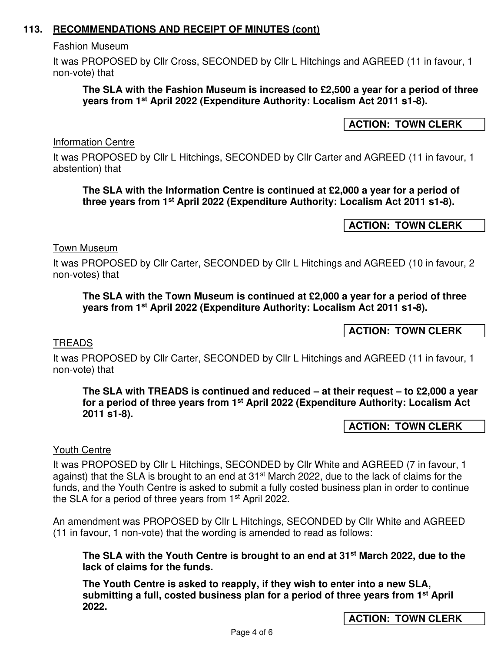#### Fashion Museum

It was PROPOSED by Cllr Cross, SECONDED by Cllr L Hitchings and AGREED (11 in favour, 1 non-vote) that

#### **The SLA with the Fashion Museum is increased to £2,500 a year for a period of three years from 1st April 2022 (Expenditure Authority: Localism Act 2011 s1-8).**

### **ACTION: TOWN CLERK**

Information Centre

It was PROPOSED by Cllr L Hitchings, SECONDED by Cllr Carter and AGREED (11 in favour, 1 abstention) that

#### **The SLA with the Information Centre is continued at £2,000 a year for a period of three years from 1st April 2022 (Expenditure Authority: Localism Act 2011 s1-8).**

**ACTION: TOWN CLERK** 

#### Town Museum

It was PROPOSED by Cllr Carter, SECONDED by Cllr L Hitchings and AGREED (10 in favour, 2 non-votes) that

#### **The SLA with the Town Museum is continued at £2,000 a year for a period of three years from 1st April 2022 (Expenditure Authority: Localism Act 2011 s1-8).**

**ACTION: TOWN CLERK** 

#### **TREADS**

It was PROPOSED by Cllr Carter, SECONDED by Cllr L Hitchings and AGREED (11 in favour, 1 non-vote) that

**The SLA with TREADS is continued and reduced – at their request – to £2,000 a year for a period of three years from 1st April 2022 (Expenditure Authority: Localism Act 2011 s1-8).** 

#### **ACTION: TOWN CLERK**

#### Youth Centre

It was PROPOSED by Cllr L Hitchings, SECONDED by Cllr White and AGREED (7 in favour, 1 against) that the SLA is brought to an end at 31<sup>st</sup> March 2022, due to the lack of claims for the funds, and the Youth Centre is asked to submit a fully costed business plan in order to continue the SLA for a period of three years from 1st April 2022.

An amendment was PROPOSED by Cllr L Hitchings, SECONDED by Cllr White and AGREED (11 in favour, 1 non-vote) that the wording is amended to read as follows:

**The SLA with the Youth Centre is brought to an end at 31st March 2022, due to the lack of claims for the funds.** 

**The Youth Centre is asked to reapply, if they wish to enter into a new SLA, submitting a full, costed business plan for a period of three years from 1st April 2022.** 

**ACTION: TOWN CLERK**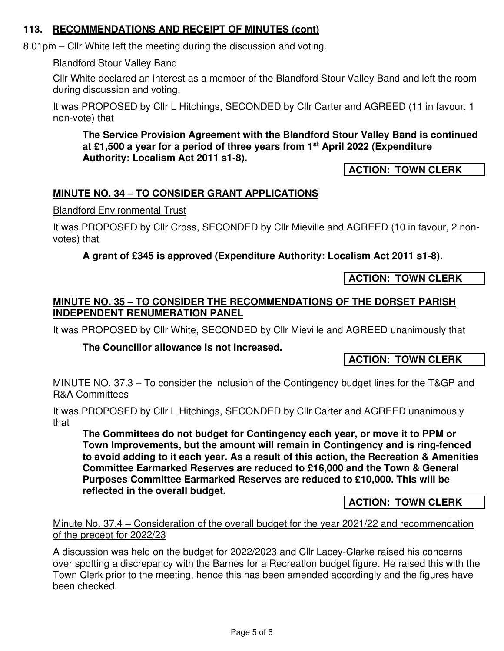8.01pm – Cllr White left the meeting during the discussion and voting.

### Blandford Stour Valley Band

Cllr White declared an interest as a member of the Blandford Stour Valley Band and left the room during discussion and voting.

It was PROPOSED by Cllr L Hitchings, SECONDED by Cllr Carter and AGREED (11 in favour, 1 non-vote) that

**The Service Provision Agreement with the Blandford Stour Valley Band is continued at £1,500 a year for a period of three years from 1st April 2022 (Expenditure Authority: Localism Act 2011 s1-8).** 

**ACTION: TOWN CLERK**

# **MINUTE NO. 34 – TO CONSIDER GRANT APPLICATIONS**

### Blandford Environmental Trust

It was PROPOSED by Cllr Cross, SECONDED by Cllr Mieville and AGREED (10 in favour, 2 nonvotes) that

# **A grant of £345 is approved (Expenditure Authority: Localism Act 2011 s1-8).**

**ACTION: TOWN CLERK** 

# **MINUTE NO. 35 – TO CONSIDER THE RECOMMENDATIONS OF THE DORSET PARISH INDEPENDENT RENUMERATION PANEL**

It was PROPOSED by Cllr White, SECONDED by Cllr Mieville and AGREED unanimously that

### **The Councillor allowance is not increased.**

**ACTION: TOWN CLERK**

### MINUTE NO. 37.3 – To consider the inclusion of the Contingency budget lines for the T&GP and R&A Committees

It was PROPOSED by Cllr L Hitchings, SECONDED by Cllr Carter and AGREED unanimously that

**The Committees do not budget for Contingency each year, or move it to PPM or Town Improvements, but the amount will remain in Contingency and is ring-fenced to avoid adding to it each year. As a result of this action, the Recreation & Amenities Committee Earmarked Reserves are reduced to £16,000 and the Town & General Purposes Committee Earmarked Reserves are reduced to £10,000. This will be reflected in the overall budget.** 

**ACTION: TOWN CLERK** 

### Minute No. 37.4 – Consideration of the overall budget for the year 2021/22 and recommendation of the precept for 2022/23

A discussion was held on the budget for 2022/2023 and Cllr Lacey-Clarke raised his concerns over spotting a discrepancy with the Barnes for a Recreation budget figure. He raised this with the Town Clerk prior to the meeting, hence this has been amended accordingly and the figures have been checked.